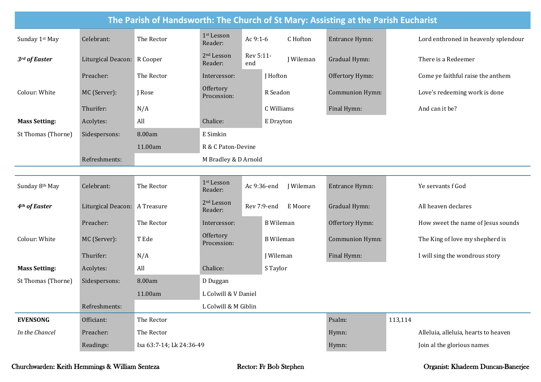| The Parish of Handsworth: The Church of St Mary: Assisting at the Parish Eucharist |                               |                          |                                   |                  |                  |                        |         |                                      |  |  |  |
|------------------------------------------------------------------------------------|-------------------------------|--------------------------|-----------------------------------|------------------|------------------|------------------------|---------|--------------------------------------|--|--|--|
| Sunday 1st May                                                                     | Celebrant:                    | The Rector               | 1 <sup>st</sup> Lesson<br>Reader: | Ac 9:1-6         | C Hofton         | Entrance Hymn:         |         | Lord enthroned in heavenly splendour |  |  |  |
| 3rd of Easter                                                                      | Liturgical Deacon: R Cooper   |                          | 2 <sup>nd</sup> Lesson<br>Reader: | Rev 5:11-<br>end | J Wileman        | Gradual Hymn:          |         | There is a Redeemer                  |  |  |  |
|                                                                                    | Preacher:                     | The Rector               | Intercessor:                      |                  | J Hofton         | Offertory Hymn:        |         | Come ye faithful raise the anthem    |  |  |  |
| Colour: White                                                                      | MC (Server):                  | J Rose                   | Offertory<br>Procession:          |                  | R Seadon         | <b>Communion Hymn:</b> |         | Love's redeeming work is done        |  |  |  |
|                                                                                    | Thurifer:                     | N/A                      |                                   |                  | C Williams       | Final Hymn:            |         | And can it be?                       |  |  |  |
| <b>Mass Setting:</b>                                                               | Acolytes:                     | All                      | Chalice:                          |                  | E Drayton        |                        |         |                                      |  |  |  |
| St Thomas (Thorne)                                                                 | Sidespersons:                 | 8.00am                   | E Simkin                          |                  |                  |                        |         |                                      |  |  |  |
|                                                                                    |                               | 11.00am                  | R & C Paton-Devine                |                  |                  |                        |         |                                      |  |  |  |
|                                                                                    | Refreshments:                 |                          | M Bradley & D Arnold              |                  |                  |                        |         |                                      |  |  |  |
|                                                                                    |                               |                          |                                   |                  |                  |                        |         |                                      |  |  |  |
| Sunday 8th May                                                                     | Celebrant:                    | The Rector               | 1st Lesson<br>Reader:             | Ac 9:36-end      | <b>J</b> Wileman | Entrance Hymn:         |         | Ye servants f God                    |  |  |  |
| 4 <sup>th</sup> of Easter                                                          | Liturgical Deacon: A Treasure |                          | 2 <sup>nd</sup> Lesson<br>Reader: | Rev 7:9-end      | E Moore          | Gradual Hymn:          |         | All heaven declares                  |  |  |  |
|                                                                                    | Preacher:                     | The Rector               | Intercessor:                      |                  | <b>B</b> Wileman | Offertory Hymn:        |         | How sweet the name of Jesus sounds   |  |  |  |
| Colour: White                                                                      | MC (Server):                  | T Ede                    | Offertory<br>Procession:          |                  | <b>B</b> Wileman | Communion Hymn:        |         | The King of love my shepherd is      |  |  |  |
|                                                                                    | Thurifer:                     | N/A                      |                                   |                  | <b>J</b> Wileman | Final Hymn:            |         | I will sing the wondrous story       |  |  |  |
| <b>Mass Setting:</b>                                                               | Acolytes:                     | All                      | Chalice:                          |                  | S Taylor         |                        |         |                                      |  |  |  |
| St Thomas (Thorne)                                                                 | Sidespersons:                 | 8.00am                   | D Duggan                          |                  |                  |                        |         |                                      |  |  |  |
|                                                                                    |                               | 11.00am                  | L Colwill & V Daniel              |                  |                  |                        |         |                                      |  |  |  |
|                                                                                    | Refreshments:                 |                          | L Colwill & M Giblin              |                  |                  |                        |         |                                      |  |  |  |
| <b>EVENSONG</b>                                                                    | Officiant:                    | The Rector               |                                   |                  |                  | Psalm:                 | 113,114 |                                      |  |  |  |
| In the Chancel                                                                     | Preacher:                     | The Rector               |                                   |                  |                  | Hymn:                  |         | Alleluia, alleluia, hearts to heaven |  |  |  |
|                                                                                    | Readings:                     | Isa 63:7-14; Lk 24:36-49 |                                   |                  |                  | Hymn:                  |         | Join al the glorious names           |  |  |  |

## Churchwarden: Keith Hemmings & William Senteza Rector: Fr Bob Stephen Organist: Khadeem Duncan-Banerjee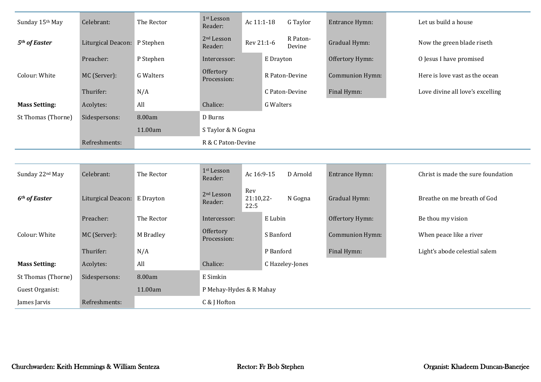| Sunday 15th May           | Celebrant:                   | The Rector       | 1st Lesson<br>Reader:             | Ac 11:1-18               | G Taylor           | Entrance Hymn:  | Let us build a house               |  |  |  |  |
|---------------------------|------------------------------|------------------|-----------------------------------|--------------------------|--------------------|-----------------|------------------------------------|--|--|--|--|
| 5 <sup>th</sup> of Easter | Liturgical Deacon: P Stephen |                  | 2 <sup>nd</sup> Lesson<br>Reader: | Rev 21:1-6               | R Paton-<br>Devine | Gradual Hymn:   | Now the green blade riseth         |  |  |  |  |
|                           | Preacher:                    | P Stephen        | Intercessor:                      | E Drayton                |                    | Offertory Hymn: | O Jesus I have promised            |  |  |  |  |
| Colour: White             | MC (Server):                 | <b>G</b> Walters | Offertory<br>Procession:          |                          | R Paton-Devine     | Communion Hymn: | Here is love vast as the ocean     |  |  |  |  |
|                           | Thurifer:                    | N/A              |                                   |                          | C Paton-Devine     | Final Hymn:     | Love divine all love's excelling   |  |  |  |  |
| <b>Mass Setting:</b>      | Acolytes:                    | All              | Chalice:                          | <b>G</b> Walters         |                    |                 |                                    |  |  |  |  |
| St Thomas (Thorne)        | Sidespersons:                | 8.00am           | D Burns                           |                          |                    |                 |                                    |  |  |  |  |
|                           |                              | 11.00am          | S Taylor & N Gogna                |                          |                    |                 |                                    |  |  |  |  |
|                           | Refreshments:                |                  | R & C Paton-Devine                |                          |                    |                 |                                    |  |  |  |  |
|                           |                              |                  |                                   |                          |                    |                 |                                    |  |  |  |  |
| Sunday 22nd May           | Celebrant:                   | The Rector       | 1st Lesson<br>Reader:             | Ac 16:9-15               | D Arnold           | Entrance Hymn:  | Christ is made the sure foundation |  |  |  |  |
| 6 <sup>th</sup> of Easter | Liturgical Deacon: E Drayton |                  | 2 <sup>nd</sup> Lesson<br>Reader: | Rev<br>21:10,22-<br>22:5 | N Gogna            | Gradual Hymn:   | Breathe on me breath of God        |  |  |  |  |
|                           | Preacher:                    | The Rector       | Intercessor:                      | E Lubin                  |                    | Offertory Hymn: | Be thou my vision                  |  |  |  |  |
| Colour: White             | MC (Server):                 | M Bradley        | Offertory<br>Procession:          | S Banford                |                    | Communion Hymn: | When peace like a river            |  |  |  |  |
|                           | Thurifer:                    | N/A              |                                   | P Banford                |                    | Final Hymn:     | Light's abode celestial salem      |  |  |  |  |
| <b>Mass Setting:</b>      | Acolytes:                    | All              | Chalice:                          |                          | C Hazeley-Jones    |                 |                                    |  |  |  |  |
| St Thomas (Thorne)        | Sidespersons:                | 8.00am           | E Simkin                          |                          |                    |                 |                                    |  |  |  |  |
| Guest Organist:           |                              | 11.00am          | P Mehay-Hydes & R Mahay           |                          |                    |                 |                                    |  |  |  |  |
| James Jarvis              | Refreshments:                |                  | C & J Hofton                      |                          |                    |                 |                                    |  |  |  |  |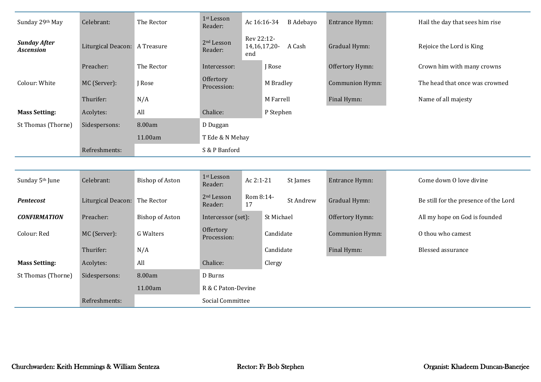| Sunday 29th May                         | Celebrant:                    | The Rector             | 1st Lesson<br>Reader:             |                   | Ac 16:16-34<br><b>B</b> Adebayo | Entrance Hymn:         |  | Hail the day that sees him rise       |  |
|-----------------------------------------|-------------------------------|------------------------|-----------------------------------|-------------------|---------------------------------|------------------------|--|---------------------------------------|--|
| <b>Sunday After</b><br><b>Ascension</b> | Liturgical Deacon: A Treasure |                        | 2 <sup>nd</sup> Lesson<br>Reader: | Rev 22:12-<br>end | A Cash<br>14, 16, 17, 20-       | Gradual Hymn:          |  | Rejoice the Lord is King              |  |
|                                         | Preacher:                     | The Rector             | Intercessor:                      |                   | J Rose                          | Offertory Hymn:        |  | Crown him with many crowns            |  |
| Colour: White                           | MC (Server):                  | J Rose                 | Offertory<br>Procession:          |                   | M Bradley                       | <b>Communion Hymn:</b> |  | The head that once was crowned        |  |
|                                         | Thurifer:                     | N/A                    |                                   |                   | M Farrell                       | Final Hymn:            |  | Name of all majesty                   |  |
| <b>Mass Setting:</b>                    | Acolytes:                     | All                    | Chalice:                          |                   | P Stephen                       |                        |  |                                       |  |
| St Thomas (Thorne)                      | Sidespersons:                 | 8.00am                 | D Duggan                          |                   |                                 |                        |  |                                       |  |
|                                         |                               | 11.00am                | T Ede & N Mehay                   |                   |                                 |                        |  |                                       |  |
|                                         | Refreshments:                 |                        | S & P Banford                     |                   |                                 |                        |  |                                       |  |
|                                         |                               |                        |                                   |                   |                                 |                        |  |                                       |  |
| Sunday 5 <sup>th</sup> June             | Celebrant:                    | <b>Bishop of Aston</b> | 1st Lesson<br>Reader:             | Ac 2:1-21         | St James                        | Entrance Hymn:         |  | Come down O love divine               |  |
| <b>Pentecost</b>                        | Liturgical Deacon:            | The Rector             | 2 <sup>nd</sup> Lesson<br>Reader: | Rom 8:14-<br>17   | St Andrew                       | Gradual Hymn:          |  | Be still for the presence of the Lord |  |
| <b>CONFIRMATION</b>                     | Preacher:                     | <b>Bishop of Aston</b> | Intercessor (set):                |                   | St Michael                      | Offertory Hymn:        |  | All my hope on God is founded         |  |
| Colour: Red                             | MC (Server):                  | <b>G</b> Walters       | Offertory<br>Procession:          |                   | Candidate                       | Communion Hymn:        |  | O thou who camest                     |  |
|                                         | Thurifer:                     | N/A                    |                                   |                   | Candidate                       | Final Hymn:            |  | <b>Blessed assurance</b>              |  |
| <b>Mass Setting:</b>                    | Acolytes:                     | All                    | Chalice:                          |                   | Clergy                          |                        |  |                                       |  |
| St Thomas (Thorne)                      | Sidespersons:                 | 8.00am                 | D Burns                           |                   |                                 |                        |  |                                       |  |
|                                         |                               | 11.00am                | R & C Paton-Devine                |                   |                                 |                        |  |                                       |  |
|                                         | Refreshments:                 |                        | Social Committee                  |                   |                                 |                        |  |                                       |  |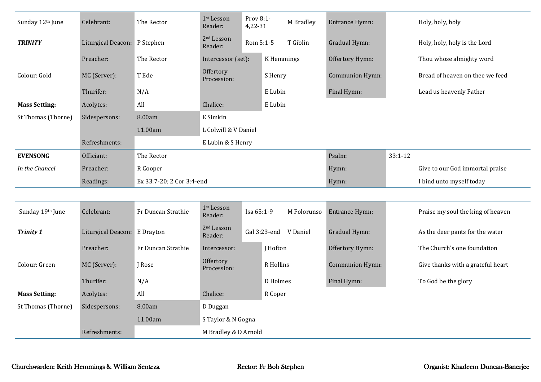| Sunday 12th June     | Celebrant:                   | The Rector                | 1st Lesson<br>Reader:             | Prov 8:1-<br>4,22-31 |                 | M Bradley             | Entrance Hymn:  |             | Holy, holy, holy                  |  |  |
|----------------------|------------------------------|---------------------------|-----------------------------------|----------------------|-----------------|-----------------------|-----------------|-------------|-----------------------------------|--|--|
| <b>TRINITY</b>       | Liturgical Deacon: P Stephen |                           | 2 <sup>nd</sup> Lesson<br>Reader: | Rom 5:1-5            |                 | T Giblin              | Gradual Hymn:   |             | Holy, holy, holy is the Lord      |  |  |
|                      | Preacher:                    | The Rector                | Intercessor (set):                |                      | K Hemmings      |                       | Offertory Hymn: |             | Thou whose almighty word          |  |  |
| Colour: Gold         | MC (Server):                 | T Ede                     | Offertory<br>Procession:          |                      | S Henry         |                       | Communion Hymn: |             | Bread of heaven on thee we feed   |  |  |
|                      | Thurifer:                    | N/A                       |                                   |                      | E Lubin         |                       | Final Hymn:     |             | Lead us heavenly Father           |  |  |
| <b>Mass Setting:</b> | Acolytes:                    | All                       | Chalice:                          |                      | E Lubin         |                       |                 |             |                                   |  |  |
| St Thomas (Thorne)   | Sidespersons:                | 8.00am                    | E Simkin                          |                      |                 |                       |                 |             |                                   |  |  |
|                      |                              | 11.00am                   | L Colwill & V Daniel              |                      |                 |                       |                 |             |                                   |  |  |
|                      | Refreshments:                |                           | E Lubin & S Henry                 |                      |                 |                       |                 |             |                                   |  |  |
| <b>EVENSONG</b>      | Officiant:                   | The Rector                |                                   |                      |                 |                       | Psalm:          | $33:1 - 12$ |                                   |  |  |
| In the Chancel       | Preacher:                    | R Cooper                  |                                   |                      |                 |                       | Hymn:           |             | Give to our God immortal praise   |  |  |
|                      | Readings:                    | Ex 33:7-20; 2 Cor 3:4-end |                                   |                      |                 |                       | Hymn:           |             | I bind unto myself today          |  |  |
|                      |                              |                           |                                   |                      |                 |                       |                 |             |                                   |  |  |
| Sunday 19th June     | Celebrant:                   | Fr Duncan Strathie        | 1st Lesson<br>Reader:             | Isa 65:1-9           |                 | M Folorunso           | Entrance Hymn:  |             | Praise my soul the king of heaven |  |  |
| <b>Trinity 1</b>     | Liturgical Deacon: E Drayton |                           | 2 <sup>nd</sup> Lesson<br>Reader: |                      |                 | Gal 3:23-end V Daniel | Gradual Hymn:   |             | As the deer pants for the water   |  |  |
|                      | Preacher:                    | Fr Duncan Strathie        | Intercessor:                      |                      | J Hofton        |                       | Offertory Hymn: |             | The Church's one foundation       |  |  |
| Colour: Green        | MC (Server):                 | J Rose                    | Offertory<br>Procession:          |                      | R Hollins       |                       | Communion Hymn: |             | Give thanks with a grateful heart |  |  |
|                      | Thurifer:                    | N/A                       |                                   |                      | <b>D</b> Holmes |                       | Final Hymn:     |             | To God be the glory               |  |  |
| <b>Mass Setting:</b> | Acolytes:                    | All                       | Chalice:                          |                      | R Coper         |                       |                 |             |                                   |  |  |
| St Thomas (Thorne)   | Sidespersons:                | 8.00am                    | D Duggan                          |                      |                 |                       |                 |             |                                   |  |  |
|                      |                              | 11.00am                   | S Taylor & N Gogna                |                      |                 |                       |                 |             |                                   |  |  |
|                      | Refreshments:                |                           | M Bradley & D Arnold              |                      |                 |                       |                 |             |                                   |  |  |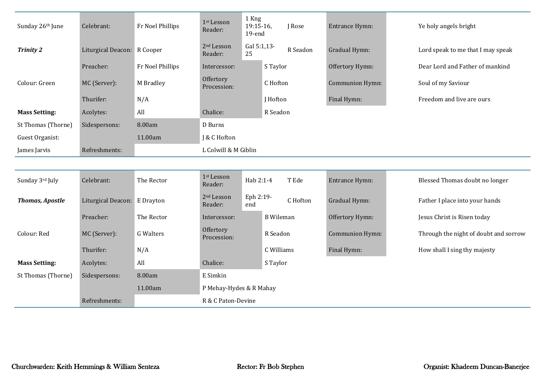| Sunday 26th June       | Celebrant:                   | Fr Noel Phillips | 1st Lesson<br>Reader:             | 1 Kng<br>$19:15-16$<br>19-end |                  | J Rose   | Entrance Hymn:  | Ye holy angels bright                 |  |  |  |
|------------------------|------------------------------|------------------|-----------------------------------|-------------------------------|------------------|----------|-----------------|---------------------------------------|--|--|--|
| <b>Trinity 2</b>       | Liturgical Deacon: R Cooper  |                  | 2 <sup>nd</sup> Lesson<br>Reader: | Gal 5:1,13-<br>25             |                  | R Seadon | Gradual Hymn:   | Lord speak to me that I may speak     |  |  |  |
|                        | Preacher:                    | Fr Noel Phillips | Intercessor:                      |                               | S Taylor         |          | Offertory Hymn: | Dear Lord and Father of mankind       |  |  |  |
| Colour: Green          | MC (Server):                 | M Bradley        | Offertory<br>Procession:          |                               | C Hofton         |          | Communion Hymn: | Soul of my Saviour                    |  |  |  |
|                        | Thurifer:                    | N/A              |                                   |                               | J Hofton         |          | Final Hymn:     | Freedom and live are ours             |  |  |  |
| <b>Mass Setting:</b>   | Acolytes:                    | All              | Chalice:                          |                               | R Seadon         |          |                 |                                       |  |  |  |
| St Thomas (Thorne)     | Sidespersons:                | 8.00am           | D Burns                           |                               |                  |          |                 |                                       |  |  |  |
| Guest Organist:        |                              | 11.00am          | J & C Hofton                      |                               |                  |          |                 |                                       |  |  |  |
| James Jarvis           | Refreshments:                |                  | L Colwill & M Giblin              |                               |                  |          |                 |                                       |  |  |  |
|                        |                              |                  |                                   |                               |                  |          |                 |                                       |  |  |  |
| Sunday 3rd July        | Celebrant:                   | The Rector       | 1st Lesson<br>Reader:             | Hab 2:1-4                     |                  | T Ede    | Entrance Hymn:  | Blessed Thomas doubt no longer        |  |  |  |
| <b>Thomas, Apostle</b> | Liturgical Deacon: E Drayton |                  | $2nd$ Lesson<br>Reader:           | Eph 2:19-<br>end              |                  | C Hofton | Gradual Hymn:   | Father I place into your hands        |  |  |  |
|                        | Preacher:                    | The Rector       | Intercessor:                      |                               | <b>B</b> Wileman |          | Offertory Hymn: | Jesus Christ is Risen today           |  |  |  |
| Colour: Red            | MC (Server):                 | <b>G</b> Walters | Offertory<br>Procession:          |                               | R Seadon         |          | Communion Hymn: | Through the night of doubt and sorrow |  |  |  |
|                        | Thurifer:                    | N/A              |                                   |                               | C Williams       |          | Final Hymn:     | How shall I sing thy majesty          |  |  |  |
| <b>Mass Setting:</b>   | Acolytes:                    | All              | Chalice:                          |                               | S Taylor         |          |                 |                                       |  |  |  |
| St Thomas (Thorne)     | Sidespersons:                | 8.00am           | E Simkin                          |                               |                  |          |                 |                                       |  |  |  |
|                        |                              | 11.00am          | P Mehay-Hydes & R Mahay           |                               |                  |          |                 |                                       |  |  |  |
|                        | Refreshments:                |                  | R & C Paton-Devine                |                               |                  |          |                 |                                       |  |  |  |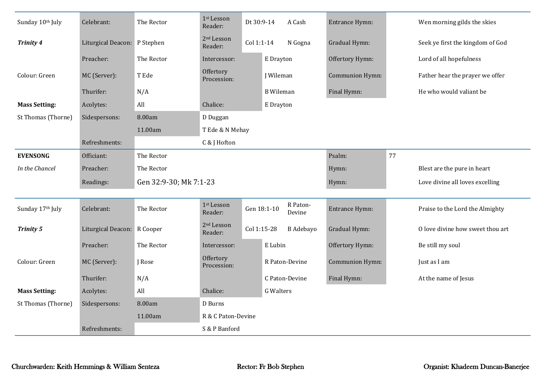| Sunday 10th July     | Celebrant:                   | The Rector             | 1st Lesson<br>Reader:             | Dt 30:9-14  |                  | A Cash             | Entrance Hymn:  |                             | Wen morning gilds the skies      |
|----------------------|------------------------------|------------------------|-----------------------------------|-------------|------------------|--------------------|-----------------|-----------------------------|----------------------------------|
| <b>Trinity 4</b>     | Liturgical Deacon: P Stephen |                        | 2 <sup>nd</sup> Lesson<br>Reader: | Col 1:1-14  |                  | N Gogna            | Gradual Hymn:   |                             | Seek ye first the kingdom of God |
|                      | Preacher:                    | The Rector             | Intercessor:                      |             | E Drayton        |                    | Offertory Hymn: |                             | Lord of all hopefulness          |
| Colour: Green        | MC (Server):                 | T Ede                  | Offertory<br>Procession:          |             | <b>J</b> Wileman |                    | Communion Hymn: |                             | Father hear the prayer we offer  |
|                      | Thurifer:                    | N/A                    |                                   |             | <b>B</b> Wileman |                    | Final Hymn:     |                             | He who would valiant be          |
| <b>Mass Setting:</b> | Acolytes:                    | All                    | Chalice:                          |             | E Drayton        |                    |                 |                             |                                  |
| St Thomas (Thorne)   | Sidespersons:                | 8.00am                 | D Duggan                          |             |                  |                    |                 |                             |                                  |
|                      |                              | 11.00am                | T Ede & N Mehay                   |             |                  |                    |                 |                             |                                  |
|                      | Refreshments:                |                        | C & J Hofton                      |             |                  |                    |                 |                             |                                  |
| <b>EVENSONG</b>      | Officiant:                   | The Rector             |                                   |             |                  | Psalm:             | 77              |                             |                                  |
| In the Chancel       | Preacher:                    | The Rector             |                                   |             |                  | Hymn:              |                 | Blest are the pure in heart |                                  |
|                      | Readings:                    | Gen 32:9-30; Mk 7:1-23 |                                   |             |                  |                    | Hymn:           |                             | Love divine all loves excelling  |
|                      |                              |                        |                                   |             |                  |                    |                 |                             |                                  |
| Sunday 17th July     | Celebrant:                   | The Rector             | 1 <sup>st</sup> Lesson<br>Reader: |             | Gen 18:1-10      | R Paton-<br>Devine | Entrance Hymn:  |                             | Praise to the Lord the Almighty  |
| <b>Trinity 5</b>     | Liturgical Deacon: R Cooper  |                        | $2nd$ Lesson<br>Reader:           | Col 1:15-28 |                  | <b>B</b> Adebayo   | Gradual Hymn:   |                             | O love divine how sweet thou art |
|                      | Preacher:                    | The Rector             | Intercessor:                      |             | E Lubin          |                    | Offertory Hymn: |                             | Be still my soul                 |
| Colour: Green        | MC (Server):                 | J Rose                 | Offertory<br>Procession:          |             |                  | R Paton-Devine     | Communion Hymn: |                             | Just as I am                     |
|                      | Thurifer:                    | N/A                    |                                   |             |                  | C Paton-Devine     | Final Hymn:     |                             | At the name of Jesus             |
| <b>Mass Setting:</b> | Acolytes:                    | All                    | Chalice:                          |             | <b>G</b> Walters |                    |                 |                             |                                  |
| St Thomas (Thorne)   | Sidespersons:                | 8.00am                 | D Burns                           |             |                  |                    |                 |                             |                                  |
|                      |                              | 11.00am                | R & C Paton-Devine                |             |                  |                    |                 |                             |                                  |
|                      | Refreshments:                |                        | S & P Banford                     |             |                  |                    |                 |                             |                                  |